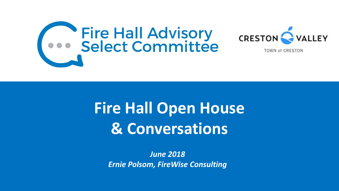

# **Fire Hall Open House & Conversations**

VALLEY

*June 2018 Ernie Polsom, FireWise Consulting*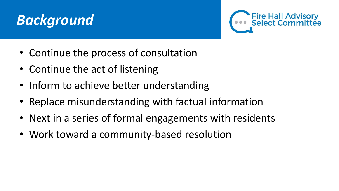### **Background**



- Continue the process of consultation
- Continue the act of listening
- Inform to achieve better understanding
- Replace misunderstanding with factual information
- Next in a series of formal engagements with residents
- Work toward a community-based resolution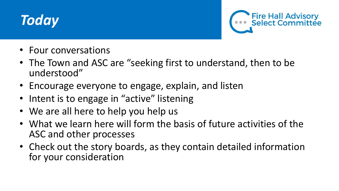



- Four conversations
- The Town and ASC are "seeking first to understand, then to be understood"
- Encourage everyone to engage, explain, and listen
- Intent is to engage in "active" listening
- We are all here to help you help us
- What we learn here will form the basis of future activities of the ASC and other processes
- Check out the story boards, as they contain detailed information for your consideration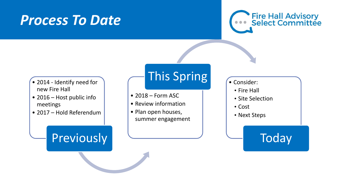#### *Process To Date*



- 2014 Identify need for new Fire Hall
- 2016 Host public info meetings
- 2017 Hold Referendum

#### **Previously**

#### This Spring **Consider:**

- 2018 Form ASC
- Review information
- Plan open houses, summer engagement

- •Fire Hall
- Site Selection
- •Cost
- Next Steps

#### **Today**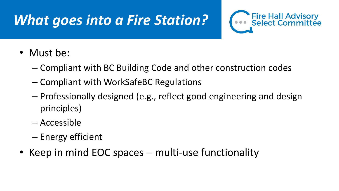## *What goes into a Fire Station?*



- Must be:
	- Compliant with BC Building Code and other construction codes
	- Compliant with WorkSafeBC Regulations
	- Professionally designed (e.g., reflect good engineering and design principles)
	- Accessible
	- Energy efficient
- Keep in mind EOC spaces multi-use functionality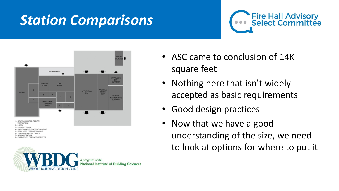## *Station Comparisons*





**BUILDING DESIGN GUIDE** 

- ASC came to conclusion of 14K square feet
- Nothing here that isn't widely accepted as basic requirements
- Good design practices
- Now that we have a good understanding of the size, we need to look at options for where to put it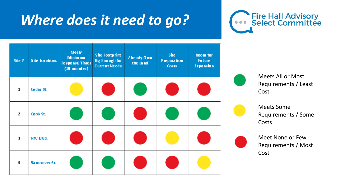#### **Where does it need to go?**



| Site #                  | <b>Site Locations</b> | <b>Meets</b><br><b>Minimum</b><br><b>Response Times</b><br>$(10 \text{ minutes})$ | <b>Site Footprint</b><br><b>Big Enough for</b><br><b>Current Needs</b> | <b>Already Own</b><br>the Land | <b>Site</b><br>Preparation<br><b>Costs</b> | Room for<br><b>Future</b><br>Expansion |
|-------------------------|-----------------------|-----------------------------------------------------------------------------------|------------------------------------------------------------------------|--------------------------------|--------------------------------------------|----------------------------------------|
| $\mathbf 1$             | Cedar St.             |                                                                                   |                                                                        |                                |                                            |                                        |
| $\overline{\mathbf{2}}$ | Cook St.              |                                                                                   |                                                                        |                                |                                            |                                        |
| 3                       | NW Blvd.              |                                                                                   |                                                                        |                                |                                            |                                        |
| 4                       | Vancouver St.         |                                                                                   |                                                                        |                                |                                            |                                        |



Meets All or Most Requirements / Least Cost



Meets Some Requirements / Some Costs

Meet None or Few Requirements / Most Cost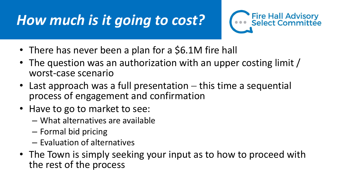## **How much is it going to cost?**



- There has never been a plan for a \$6.1M fire hall
- The question was an authorization with an upper costing limit / worst-case scenario
- Last approach was a full presentation  $-$  this time a sequential process of engagement and confirmation
- Have to go to market to see:
	- What alternatives are available
	- Formal bid pricing
	- Evaluation of alternatives
- The Town is simply seeking your input as to how to proceed with the rest of the process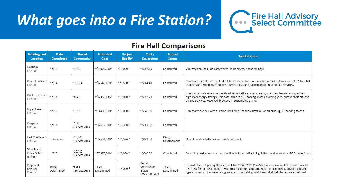#### *What goes into a Fire Station?*



#### **Fire Hall Comparisons**

| <b>Building and</b><br>Location                | <b>Date</b><br><b>Completed</b> | Size of<br><b>Community</b>       | <b>Estimated</b><br>Cost              | <b>Project</b><br>Size $(ft^2)$        | Cost /<br><b>Squarefoot</b>                            | Project<br><b>Status</b> | <b>Special Notes</b>                                                                                                                                                                                                                                                                                         |
|------------------------------------------------|---------------------------------|-----------------------------------|---------------------------------------|----------------------------------------|--------------------------------------------------------|--------------------------|--------------------------------------------------------------------------------------------------------------------------------------------------------------------------------------------------------------------------------------------------------------------------------------------------------------|
| Gabriola<br>Fire Hall                          | $~^{\sim}$ 2013                 | ~4045                             | $^{\sim}$ \$4,000,000 <sup>1</sup>    | $^{\prime\prime}$ 13,000 $^8$          | ~\$307.69                                              | Completed                | Volunteer fire hall - no career or WEP members, 4 tandem bays.                                                                                                                                                                                                                                               |
| Central Saanich<br>Fire Hall                   | ~2014                           | $^{\sim}16,814$                   | $^{\circ}$ \$6,545,160 $^2$           | $^{\circ}21,500$ <sup>9</sup>          | ~95304.43                                              | Completed                | Composite Fire Department - 4 full time career staff + administration, 4 tandem bays, LEED Silver, full<br>training yard, 50+ parking spaces, pumper test, and full construction of off-site services.                                                                                                       |
| Qualicum Beach<br>Fire Hall                    | ~2015                           | ~8943                             | $^{\circ}$ \$6,365,136 $^{\circ}$     | $^{\prime\prime}$ 18,020 <sup>10</sup> | $^{\sim}$ \$353.23                                     | Completed                | Composite Fire Department with full time staff + administration, 4 tandem bays + FCM grant and<br>high level energy savings. This cost included 50+ parking spaces, training yard, pumper test pit, and<br>off-site services. Received \$460,000 in sustainable grants.                                      |
| Logan Lake<br>Fire Hall                        | ~2017                           | ~1993                             | ~\$3,400,000 4                        | $^{\sim}10,000$ 11                     | $^{\sim}$ \$340.00                                     | Completed                | Composite fire hall with full time Fire Chief, 3 tandem bays, all wood building, 15 parking spaces.                                                                                                                                                                                                          |
| Osoyoos<br>Fire Hall                           | $^{\sim}2016$                   | ~1085<br>+ Service Area           | $^{\circ}$ \$6,619,800 5              | $^{\prime\prime}$ 17,330 $^{12}$       | $^{\sim}$ \$381.98                                     | Completed                |                                                                                                                                                                                                                                                                                                              |
| East Courtenay<br>Fire Hall                    | In Progress                     | $^{\sim}26,000$<br>+ Service Area | $^{\circ}$ \$5,692,000 <sup>6</sup>   | $^{\prime\prime}$ 16,576 <sup>13</sup> | $^{\sim}$ \$343.39                                     | Design<br>Development    | One of two fire halls - career fire department                                                                                                                                                                                                                                                               |
| View Royal<br>Public Safety<br><b>Building</b> | ~2015                           | $^{\sim}10,480$<br>+ Service Area | $\frac{1}{2}$ 57,370,000 <sup>7</sup> | $^{\sim}20,000^{14}$                   | $^{\sim}$ \$368.50                                     | Completed                | Concrete / engineered steel construction, built according to legislative standards and the BC Building Code.                                                                                                                                                                                                 |
| Proposed<br>Creston<br>Fire Hall               | To Be<br>Determined             | ~5351<br>+ Service Area           | To Be<br>Determined                   | $^{\prime\prime}$ 14,000 <sup>15</sup> | Per Altus<br>Construction<br>Guide<br>Est. \$300-\$350 | To Be<br>Determined      | Estimate for cost per sq. ft based on Altus Group 2018 Construction Cost Guide. Referendum would<br>be to ask for approval to borrow up to a maximum amount. Actual project cost is based on design,<br>type of construction materials, grants, and fundraising, which would all help to reduce actual cost. |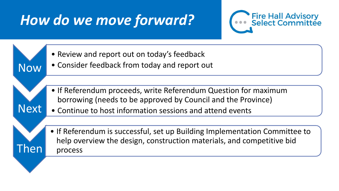### *How do we move forward?*



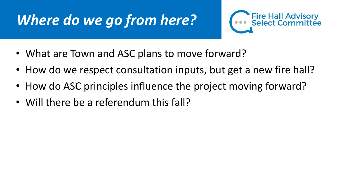### *Where do we go from here?*



- What are Town and ASC plans to move forward?
- How do we respect consultation inputs, but get a new fire hall?
- How do ASC principles influence the project moving forward?
- Will there be a referendum this fall?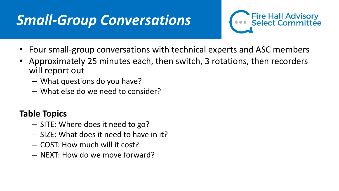### **Small-Group Conversations**



- Four small-group conversations with technical experts and ASC members
- Approximately 25 minutes each, then switch, 3 rotations, then recorders will report out
	- What questions do you have?
	- What else do we need to consider?

#### **Table Topics**

- SITE: Where does it need to go?
- SIZE: What does it need to have in it?
- COST: How much will it cost?
- NEXT: How do we move forward?